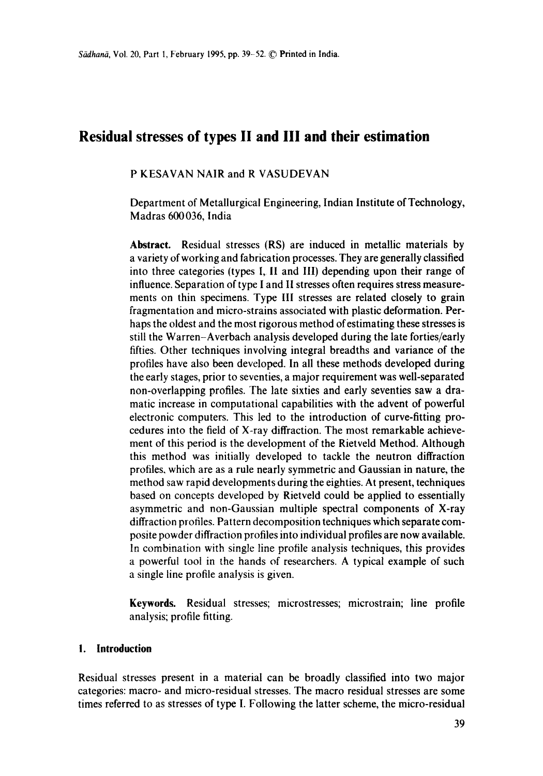# **Residual stresses of types II and III and their estimation**

### P KESAVAN NAIR and R VASUDEVAN

Department of Metallurgical Engineering, Indian Institute of Technology, Madras 600036, India

**Abstract.** Residual stresses (RS) are induced in metallic materials by a variety of working and fabrication processes. They are generally classified into three categories (types I, II and III) depending upon their range of influence. Separation of type I and II stresses often requires stress measurements on thin specimens. Type III stresses are related closely to grain fragmentation and micro-strains associated with plastic deformation. Perhaps the oldest and the most rigorous method of estimating these stresses is still the Warren-Averbach analysis developed during the late forties/early fifties. Other techniques involving integral breadths and variance of the profiles have also been developed. In all these methods developed during the early stages, prior to seventies, a major requirement was well-separated non-overlapping profiles. The late sixties and early seventies saw a dramatic increase in computational capabilities with the advent of powerful electronic computers. This led to the introduction of curve-fitting procedures into the field of X-ray diffraction. The most remarkable achievement of this period is the development of the Rietveld Method. Although this method was initially developed to tackle the neutron diffraction profiles, which are as a rule nearly symmetric and Gaussian in nature, the method saw rapid developments during the eighties. At present, techniques based on concepts developed by Rietveld could be applied to essentially asymmetric and non-Gaussian multiple spectral components of X-ray diffraction profiles. Pattern decomposition techniques which separate composite powder diffraction profiles into individual profiles are now available. In combination with single line profile analysis techniques, this provides a powerful tool in the hands of researchers. A typical example of such a single line profile analysis is given.

**Keywords.** Residual stresses; microstresses; microstrain; line profile analysis; profile fitting.

### **I. Introduction**

Residual stresses present in a material can be broadly classified into two major categories: macro- and micro-residual stresses. The macro residual stresses are some times referred to as stresses of type I. Following the latter scheme, the micro-residual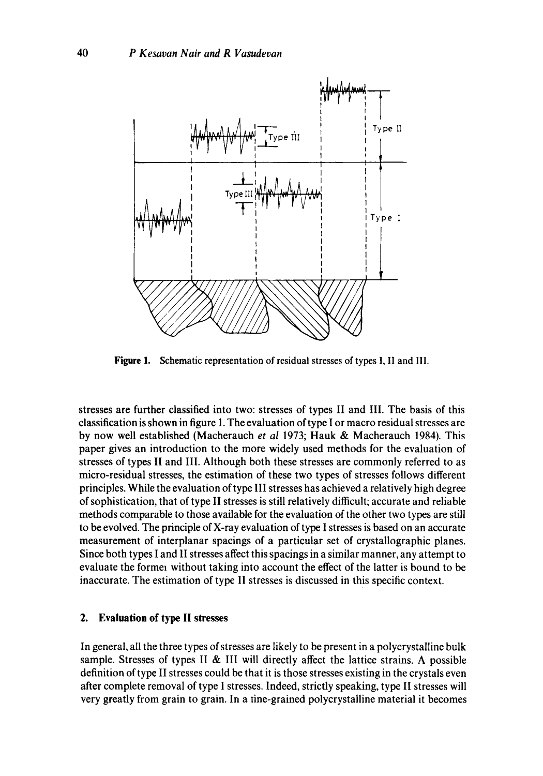

Figure 1. Schematic representation of residual stresses of types I, II and III.

stresses are further classified into two: stresses of types II and III. The basis of this classification is shown in figure 1. The evaluation of type I or macro residual stresses are by now well established (Macherauch *et al* 1973; Hauk & Macherauch 1984). This paper gives an introduction to the more widely used methods for the evaluation of stresses of types II and III. Although both these stresses are commonly referred to as micro-residual stresses, the estimation of these two types of stresses follows different principles. While the evaluation of type III stresses has achieved a relatively high degree of sophistication, that of type II stresses is still relatively difficult; accurate and reliable methods comparable to those available for the evaluation of the other two types are still to be evolved. The principle of X-ray evaluation of type I stresses is based on an accurate measurement of interplanar spacings of a particular set of crystallographic planes. Since both types I and 1I stresses affect this spacings in a similar manner, any attempt to evaluate the former without taking into account the effect of the latter is bound to be inaccurate. The estimation of type II stresses is discussed in this specific context.

#### **2. Evaluation of type II stresses**

In general, all the three types of stresses are likely to be present in a polycrystalline bulk sample. Stresses of types II & III will directly affect the lattice strains. A possible definition of type II stresses could be that it is those stresses existing in the crystals even after complete removal of type I stresses. Indeed, strictly speaking, type II stresses will very greatly from grain to grain. In a tine-grained polycrystalline material it becomes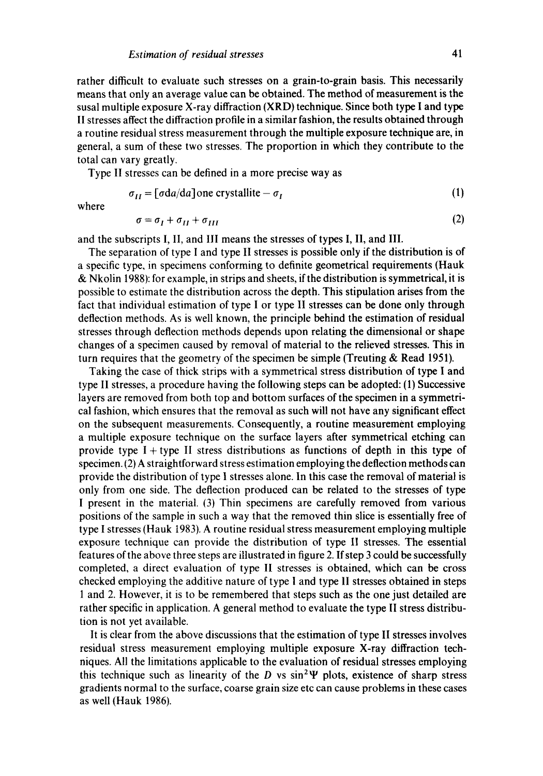rather difficult to evaluate such stresses on a grain-to-grain basis. This necessarily means that only an average value can be obtained. The method of measurement is the susal multiple exposure X-ray diffraction (XRD) technique. Since both type I and type II stresses affect the diffraction profile in a similar fashion, the results obtained through a routine residual stress measurement through the multiple exposure technique are, in general, a sum of these two stresses. The proportion in which they contribute to the total can vary greatly.

Type II stresses can be defined in a more precise way as

$$
\sigma_{II} = [\sigma da/da] \text{one crystallike} - \sigma_I \tag{1}
$$

where

$$
\sigma = \sigma_I + \sigma_{II} + \sigma_{III} \tag{2}
$$

and the subscripts I, II, and III means the stresses of types I, II, and III.

The separation of type I and type II stresses is possible only if the distribution is of a specific type, in specimens conforming to definite geometrical requirements (Hauk & Nkolin 1988): for example, in strips and sheets, if the distribution is symmetrical, it is possible to estimate the distribution across the depth. This stipulation arises from the fact that individual estimation of type I or type II stresses can be done only through deflection methods. As is well known, the principle behind the estimation of residual stresses through deflection methods depends upon relating the dimensional or shape changes of a specimen caused by removal of material to the relieved stresses. This in turn requires that the geometry of the specimen be simple (Treuting & Read 1951).

Taking the case of thick strips with a symmetrical stress distribution of type I and type II stresses, a procedure having the following steps can be adopted: (1) Successive layers are removed from both top and bottom surfaces of the specimen in a symmetrical fashion, which ensures that the removal as such will not have any significant effect on the subsequent measurements. Consequently, a routine measurement employing a multiple exposure technique on the surface layers after symmetrical etching can provide type I + type II stress distributions as functions of depth in this type of specimen. (2) A straightforward stress estimation employing the deflection methods can provide the distribution of type I stresses alone. In this case the removal of material is only from one side. The deflection produced can be related to the stresses of type I present in the material. (3) Thin specimens are carefully removed from various positions of the sample in such a way that the removed thin slice is essentially free of type I stresses (Hauk 1983). A routine residual stress measurement employing multiple exposure technique can provide the distribution of type II stresses. The essential features of the above three steps are illustrated in figure 2. If step 3 could be successfully completed, a direct evaluation of type II stresses is obtained, which can be cross checked employing the additive nature of type I and type II stresses obtained in steps 1 and 2. However, it is to be remembered that steps such as the one just detailed are rather specific in application. A general method to evaluate the type II stress distribution is not yet available.

It is clear from the above discussions that the estimation of type II stresses involves residual stress measurement employing multiple exposure X-ray diffraction techniques. All the limitations applicable to the evaluation of residual stresses employing this technique such as linearity of the D vs  $sin^2\Psi$  plots, existence of sharp stress gradients normal to the surface, coarse grain size etc can cause problems in these cases as well (Hauk 1986).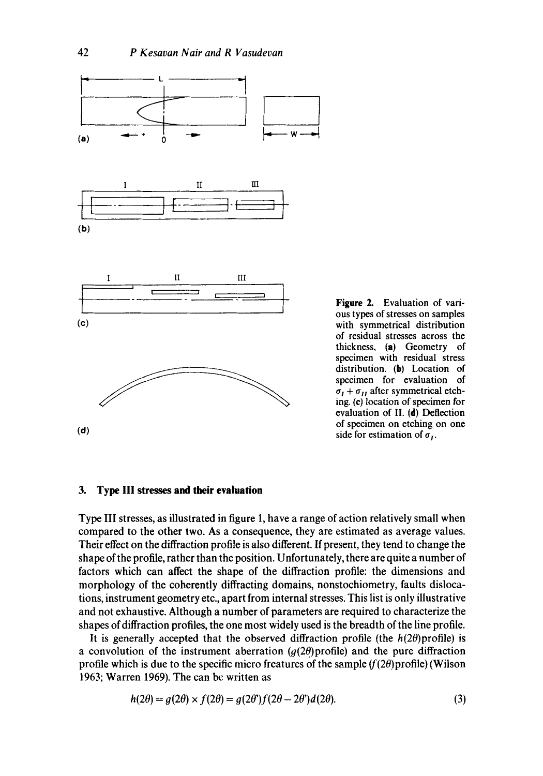

**Figure** 2. Evaluation of various types of stresses on samples with symmetrical distribution of residual stresses across the thickness, (a) Geometry of specimen with residual stress distribution. (b) Location of specimen for evaluation of  $\sigma_I + \sigma_{II}$  after symmetrical etching. (e) location of specimen for evaluation of II. (d) Deflection of specimen on etching on one side for estimation of  $\sigma_I$ .

### **3. Type III stresses and their evaluation**

Type III stresses, as illustrated in figure 1, have a range of action relatively small when compared to the other two. As a consequence, they are estimated as average values. Their effect on the diffraction profile is also different. If present, they tend to change the shape of the profile, rather than the position. Unfortunately, there are quite a number of factors which can affect the shape of the diffraction profile: the dimensions and morphology of the coherently diffracting domains, nonstochiometry, faults dislocations, instrument geometry etc., apart from internal stresses. This list is only illustrative and not exhaustive. Although a number of parameters are required to characterize the shapes of diffraction profiles, the one most widely used is the breadth of the line profile.

It is generally accepted that the observed diffraction profile (the  $h(2\theta)$ profile) is a convolution of the instrument aberration  $(g(2\theta))$  profile) and the pure diffraction profile which is due to the specific micro freatures of the sample  $(f(2\theta))$  (Wilson 1963; Warren 1969). The can be written as

$$
h(2\theta) = g(2\theta) \times f(2\theta) = g(2\theta')f(2\theta - 2\theta')d(2\theta).
$$
\n(3)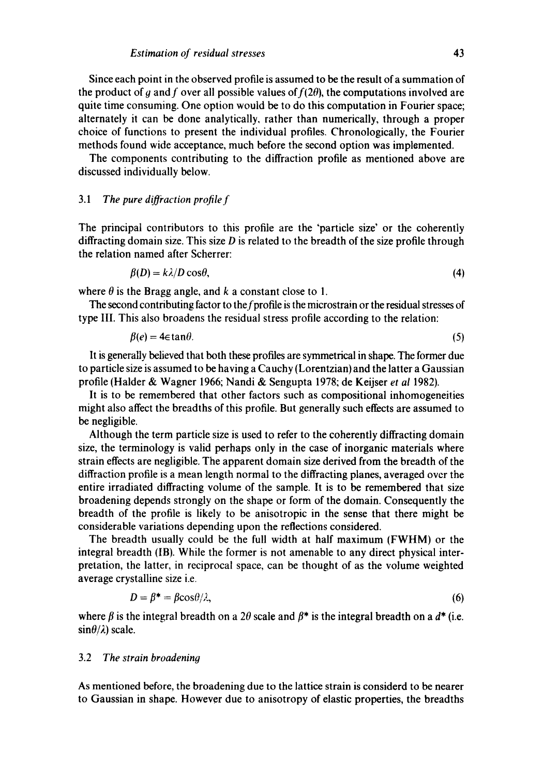Since each point in the observed profile is assumed to be the result of a summation of the product of g and f over all possible values of  $f(2\theta)$ , the computations involved are quite time consuming. One option would be to do this computation in Fourier space; alternately it can be done analytically, rather than numerically, through a proper choice of functions to present the individual profiles. Chronologically, the Fourier methods found wide acceptance, much before the second option was implemented.

The components contributing to the diffraction profile as mentioned above are discussed individually below.

#### 3.1 *The pure diffraction profile f*

The principal contributors to this profile are the 'particle size' or the coherently diffracting domain size. This size  $D$  is related to the breadth of the size profile through the relation named after Scherrer:

$$
\beta(D) = k\lambda/D\cos\theta,\tag{4}
$$

where  $\theta$  is the Bragg angle, and k a constant close to 1.

The second contributing factor to the f profile is the microstrain or the residual stresses of type IlL This also broadens the residual stress profile according to the relation:

$$
\beta(e) = 4\epsilon \tan \theta. \tag{5}
$$

It is generally believed that both these profiles are symmetrical in shape. The former due to particle size is assumed to be having a Cauchy (Lorentzian) and the latter a Gaussian profile (Halder & Wagner 1966; Nandi & Sengupta 1978; de Keijser *et al* 1982).

It is to be remembered that other factors such as compositional inhomogeneities might also affect the breadths of this profile. But generally such effects are assumed to be negligible.

Although the term particle size is used to refer to the coherently diffracting domain size, the terminology is valid perhaps only in the case of inorganic materials where strain effects are negligible. The apparent domain size derived from the breadth of the diffraction profile is a mean length normal to the diffracting planes, averaged over the entire irradiated diffracting volume of the sample. It is to be remembered that size broadening depends strongly on the shape or form of the domain. Consequently the breadth of the profile is likely to be anisotropic in the sense that there might be considerable variations depending upon the reflections considered.

The breadth usually could be the full width at half maximum (FWHM) or the integral breadth (IB). While the former is not amenable to any direct physical interpretation, the latter, in reciprocal space, can be thought of as the volume weighted average crystalline size i.e.

$$
D = \beta^* = \beta \cos(\theta)/\lambda,\tag{6}
$$

where  $\beta$  is the integral breadth on a 2 $\theta$  scale and  $\beta^*$  is the integral breadth on a  $d^*$  (i.e.  $\sin\theta/\lambda$ ) scale.

#### 3.2 *The strain broadening*

As mentioned before, the broadening due to the lattice strain is considerd to be nearer to Gaussian in shape. However due to anisotropy of elastic properties, the breadths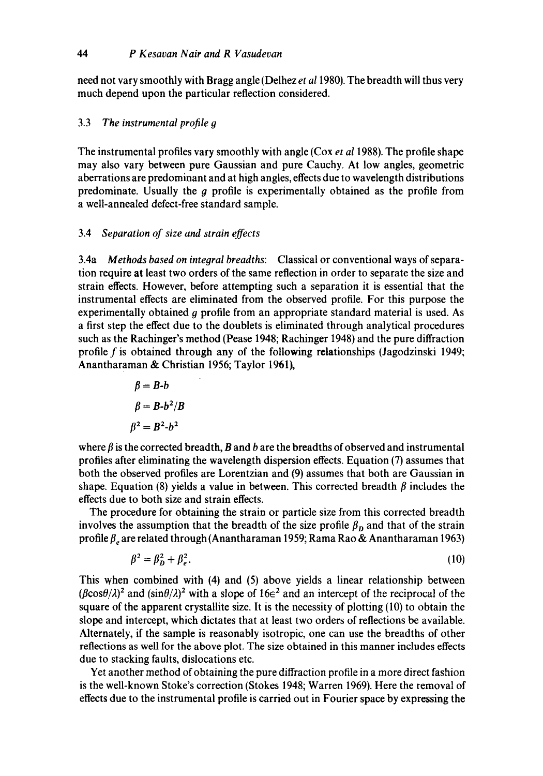need not vary smoothly with Bragg angle (Delhez *et a11980).* The breadth will thus very much depend upon the particular reflection considered.

## 3.3 *The instrumental profile g*

The instrumental profiles vary smoothly with angle (Cox *et al* 1988). The profile shape may also vary between pure Gaussian and pure Cauchy. At low angles, geometric aberrations are predominant and at high angles, effects due to wavelength distributions predominate. Usually the  $g$  profile is experimentally obtained as the profile from a well-annealed defect-free standard sample.

### 3.4 *Separation of size and strain effects*

3.4a *Methods based on integral breadths:* Classical or conventional ways of separation require at least two orders of the same reflection in order to separate the size and strain effects. However, before attempting such a separation it is essential that the instrumental effects are eliminated from the observed profile. For this purpose the experimentally obtained  $q$  profile from an appropriate standard material is used. As a first step the effect due to the doublets is eliminated through analytical procedures such as the Rachinger's method (Pease 1948; Rachinger 1948) and the pure diffraction profile f is obtained through any of the following relationships (Jagodzinski 1949; Anantharaman & Christian 1956; Taylor 1961),

$$
\beta = B-b
$$

$$
\beta = B-b^2/B
$$

$$
\beta^2 = B^2-b^2
$$

where  $\beta$  is the corrected breadth, B and b are the breadths of observed and instrumental profiles after eliminating the wavelength dispersion effects. Equation (7) assumes that both the observed profiles are Lorentzian and (9) assumes that both are Gaussian in shape. Equation (8) yields a value in between. This corrected breadth  $\beta$  includes the effects due to both size and strain effects.

The procedure for obtaining the strain or particle size from this corrected breadth involves the assumption that the breadth of the size profile  $\beta_p$  and that of the strain profile  $\beta_e$  are related through (Anantharaman 1959; Rama Rao & Anantharaman 1963)

$$
\beta^2 = \beta_D^2 + \beta_e^2. \tag{10}
$$

This when combined with (4) and (5) above yields a linear relationship between  $(\beta \cos\theta/\lambda)^2$  and  $(\sin\theta/\lambda)^2$  with a slope of  $16\epsilon^2$  and an intercept of the reciprocal of the square of the apparent crystallite size. It is the necessity of plotting (10) to obtain the slope and intercept, which dictates that at least two orders of reflections be available. Alternately, if the sample is reasonably isotropic, one can use the breadths of other reflections as well for the above plot. The size obtained in this manner includes effects due to stacking faults, dislocations etc.

Yet another method of obtaining the pure diffraction profile in a more direct fashion is the well-known Stoke's correction (Stokes 1948; Warren 1969). Here the removal of effects due to the instrumental profile is carried out in Fourier space by expressing the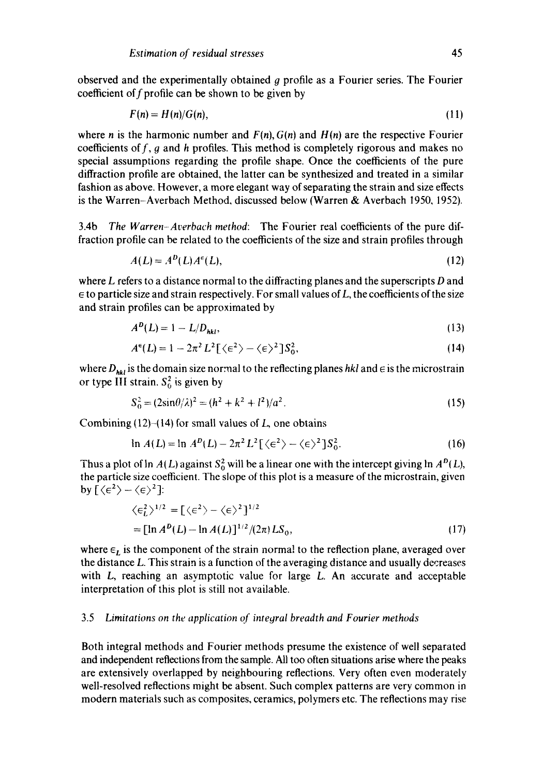observed and the experimentally obtained q profile as a Fourier series. The Fourier coefficient of  $f$  profile can be shown to be given by

$$
F(n) = H(n)/G(n),\tag{11}
$$

where *n* is the harmonic number and  $F(n)$ ,  $G(n)$  and  $H(n)$  are the respective Fourier coefficients of  $f$ ,  $g$  and  $h$  profiles. This method is completely rigorous and makes no special assumptions regarding the profile shape. Once the coefficients of the pure diffraction profile are obtained, the latter can be synthesized and treated in a similar fashion as above, However, a more elegant way of separating the strain and size effects is the Warren-Averbach Method, discussed below (Warren & Averbach 1950, 1952).

3.4b *The Warren-Averbach method:* The Fourier real coefficients of the pure diffraction profile can be related to the coefficients of the size and strain profiles through

$$
A(L) = A^D(L)A^{\epsilon}(L),
$$
\n(12)

where  $L$  refers to a distance normal to the diffracting planes and the superscripts  $D$  and  $\epsilon$  to particle size and strain respectively. For small values of L, the coefficients of the size and strain profiles can be approximated by

$$
A^{D}(L) = 1 - L/D_{hkt},
$$
\n(13)

$$
A^{\epsilon}(L) = 1 - 2\pi^2 L^2 \left[ \langle \epsilon^2 \rangle - \langle \epsilon \rangle^2 \right] S_0^2, \tag{14}
$$

where  $D_{hkl}$  is the domain size normal to the reflecting planes  $hkl$  and  $\in$  is the microstrain or type III strain,  $S_0^2$  is given by

$$
S_0^2 = (2\sin\theta/\lambda)^2 = (h^2 + k^2 + l^2)/a^2.
$$
 (15)

Combining  $(12)$ - $(14)$  for small values of L, one obtains

$$
\ln A(L) = \ln A^{D}(L) - 2\pi^{2} L^{2} \left[ \langle \epsilon^{2} \rangle - \langle \epsilon \rangle^{2} \right] S_{0}^{2}.
$$
 (16)

Thus a plot of ln  $A(L)$  against  $S_0^2$  will be a linear one with the intercept giving ln  $A^{D}(L)$ , the particle size coefficient. The slope of this plot is a measure of the microstrain, given by  $\left[\langle \epsilon^2 \rangle - \langle \epsilon \rangle^2\right]$ :

$$
\begin{aligned} \langle \epsilon_L^2 \rangle^{1/2} &= \left[ \langle \epsilon^2 \rangle - \langle \epsilon \rangle^2 \right]^{1/2} \\ &= \left[ \ln A^D(L) - \ln A(L) \right]^{1/2} / (2\pi) L S_0, \end{aligned} \tag{17}
$$

where  $\epsilon_L$  is the component of the strain normal to the reflection plane, averaged over the distance L. This strain is a function of the averaging distance and usually decreases with  $L$ , reaching an asymptotic value for large  $L$ . An accurate and acceptable interpretation of this plot is still not available.

#### 3.5 *Limitations on the application of integral breadth and Fourier methods*

Both integral methods and Fourier methods presume the existence of well separated and independent reflections from the sample. All too often situations arise where the peaks are extensively overlapped by neighbouring reflections. Very often even moderately well-resolved reflections might be absent. Such complex patterns are very common in modern materials such as composites, ceramics, polymers etc. The reflections may rise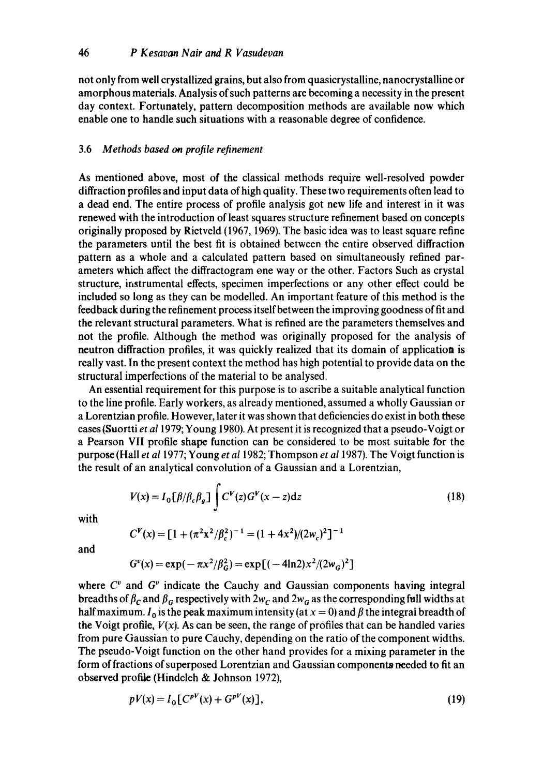not only from well crystallized grains, but also from quasicrystalline, nanocrystalline or amorphous materials. Analysis of such patterns are becoming a necessity in the present day context. Fortunately, pattern decomposition methods are available now which enable one to handle such situations with a reasonable degree of confidence.

### 3.6 *Methods based on profile refinement*

As mentioned above, most of the classical methods require well-resolved powder diffraction profiles and input data of high quality. These two requirements often lead to a dead end. The entire process of profile analysis got new life and interest in it was renewed with the introduction of least squares structure refinement based on concepts originally proposed by Rietveld (1967, 1969). The basic idea was to least square refine the parameters until the best fit is obtained between the entire observed diffraction pattern as a whole and a calculated pattern based on simultaneously refined parameters which affect the diffractogram one way or the other. Factors Such as crystal structure, instrumental effects, specimen imperfections or any other effect could be included so long as they can be modelled. An important feature of this method is the feedback during the refinement process itself between the improving goodness of fit and the relevant structural parameters. What is refined are the parameters themselves and not the profile. Although the method was originally proposed for the analysis of neutron diffraction profiles, it was quickly realized that its domain of application is really vast. In the present context the method has high potential to provide data on the structural imperfections of the material to be analysed.

An essential requirement for this purpose is to ascribe a suitable analytical function to the line profile. Early workers, as already mentioned, assumed a wholly Gaussian or a Lorentzian profile. However, later it was shown that deficiencies do exist in both these cases (\$uortti *et a11979;* Young 1980). At present it is recognized that a pseudo-Vojgt or a Pearson VII profile shape function can be considered to be most suitable for the purpose (Hall *et al* 1977; Young *et a11982;* Thompson *et a11987).* The Voigt function is the result of an analytical convolution of a Gaussian and a Lorentzian,

$$
V(x) = I_0 \left[\beta/\beta_c \beta_g\right] \int C^V(z) G^V(x-z) dz \tag{18}
$$

with

$$
C^{V}(x) = [1 + (\pi^2 x^2/\beta_c^2)^{-1} = (1 + 4x^2)/(2w_c)^2]^{-1}
$$

and

$$
G^{v}(x) = \exp(-\pi x^{2}/\beta_{G}^{2}) = \exp[(-4\ln 2)x^{2}/(2w_{G})^{2}]
$$

where  $C<sup>v</sup>$  and  $G<sup>v</sup>$  indicate the Cauchy and Gaussian components having integral breadths of  $\beta_c$  and  $\beta_c$  respectively with  $2w_c$  and  $2w_g$  as the corresponding full widths at half maximum.  $I_0$  is the peak maximum intensity (at  $x = 0$ ) and  $\beta$  the integral breadth of the Voigt profile,  $V(x)$ . As can be seen, the range of profiles that can be handled varies from pure Gaussian to pure Cauchy, depending on the ratio of the component widths. The pseudo-Voigt function on the other hand provides for a mixing parameter in the form of fractions of superposed Lorentzian and Gaussian components needed to fit an observed profile (Hindeleh & Johnson 1972),

$$
pV(x) = I_0[C^{pV}(x) + G^{pV}(x)],
$$
\n(19)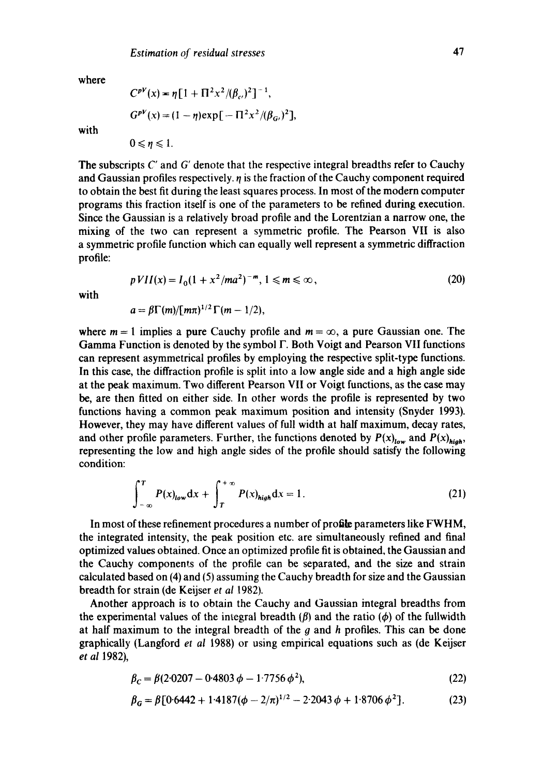where

$$
C^{pV}(x) = \eta \left[ 1 + \Pi^2 x^2 / (\beta_c)^2 \right]^{-1},
$$
  
\n
$$
G^{pV}(x) = (1 - \eta) \exp \left[ -\Pi^2 x^2 / (\beta_G)^2 \right],
$$

with

$$
0\leqslant\eta\leqslant1.
$$

The subscripts C' and G' denote that the respective integral breadths refer to Cauchy and Gaussian profiles respectively,  $\eta$  is the fraction of the Cauchy component required to obtain the best fit during the least squares process. In most of the modern computer programs this fraction itself is one of the parameters to be refined during execution. Since the Gaussian is a relatively broad profile and the Lorentzian a narrow one, the mixing of the two can represent a symmetric profile. The Pearson VII is also a symmetric profile function which can equally well represent a symmetric diffraction profile:

$$
p\,VII(x) = I_0(1 + x^2/ma^2)^{-m}, \, 1 \le m \le \infty \,, \tag{20}
$$

with

$$
a=\beta\Gamma(m)/[m\pi)^{1/2}\Gamma(m-1/2),
$$

where  $m = 1$  implies a pure Cauchy profile and  $m = \infty$ , a pure Gaussian one. The Gamma Function is denoted by the symbol  $\Gamma$ . Both Voigt and Pearson VII functions can represent asymmetrical profiles by employing the respective split-type functions. In this case, the diffraction profile is split into a low angle side and a high angle side at the peak maximum. Two different Pearson VII or Voigt functions, as the case may be, are then fitted on either side. In other words the profile is represented by two functions having a common peak maximum position and intensity (Snyder 1993). However, they may have different values of full width at half maximum, decay rates, and other profile parameters. Further, the functions denoted by  $P(x)_{low}$  and  $P(x)_{high}$ , representing the low and high angle sides of the profile should satisfy the following condition:

$$
\int_{-\infty}^{T} P(x)_{low} \, dx + \int_{T}^{+\infty} P(x)_{high} \, dx = 1. \tag{21}
$$

In most of these refinement procedures a number of profile parameters like FWHM, the integrated intensity, the peak position etc. are simultaneously refined and final optimized values obtained. Once an optimized profile fit is obtained, the Gaussian and the Cauchy components of the profile can be separated, and the size and strain calculated based on (4) and (5) assuming the Cauchy breadth for size and the Gaussian breadth for strain (de Keijser *et al* 1982).

Another approach is to obtain the Cauchy and Gaussian integral breadths from the experimental values of the integral breadth  $(\beta)$  and the ratio  $(\phi)$  of the fullwidth at half maximum to the integral breadth of the  $q$  and  $h$  profiles. This can be done graphically (Langford *et al* 1988) or using empirical equations such as (de Keijser *et al* 1982),

$$
\beta_C = \beta (2.0207 - 0.4803 \phi - 1.7756 \phi^2),\tag{22}
$$

$$
\beta_G = \beta [0.6442 + 1.4187(\phi - 2/\pi)^{1/2} - 2.2043 \phi + 1.8706 \phi^2].
$$
 (23)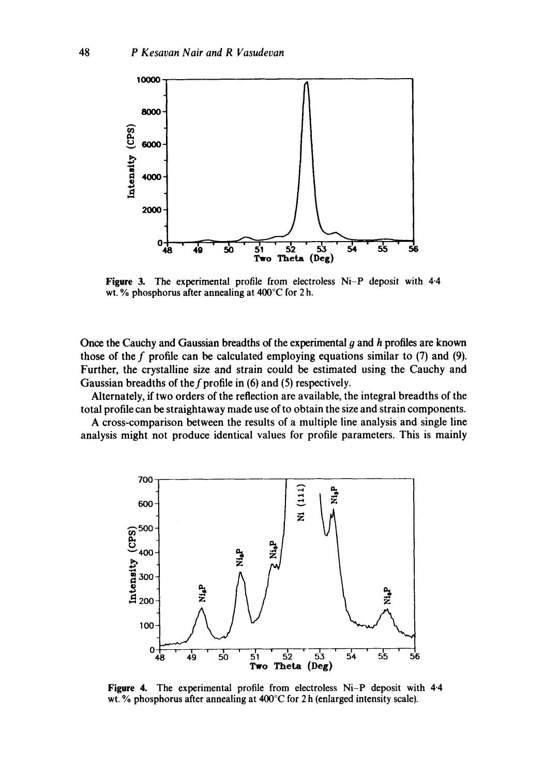

**Figure** 3. The experimental profile from electroless Ni-P deposit with 4.4 wt. % phosphorus after annealing at 400°C for 2 h.

Once the Cauchy and Gaussian breadths of the experimental  $g$  and  $h$  profiles are known those of the f profile can be calculated employing equations similar to  $(7)$  and  $(9)$ . Further, the crystalline size and strain could be estimated using the Cauchy and Gaussian breadths of the f profile in (6) and (5) respectively.

Alternately, if two orders of the reflection are available, the integral breadths of the total profile can be straightaway made use of to obtain the size and strain components.

A cross-comparison between the results of a multiple line analysis and single line analysis might not produce identical values for profile parameters. This is mainly



**Figure** 4. The experimental profile from electroless Ni-P deposit with 4.4 wt. % phosphorus after annealing at 400°C for 2 h (enlarged intensity scale}.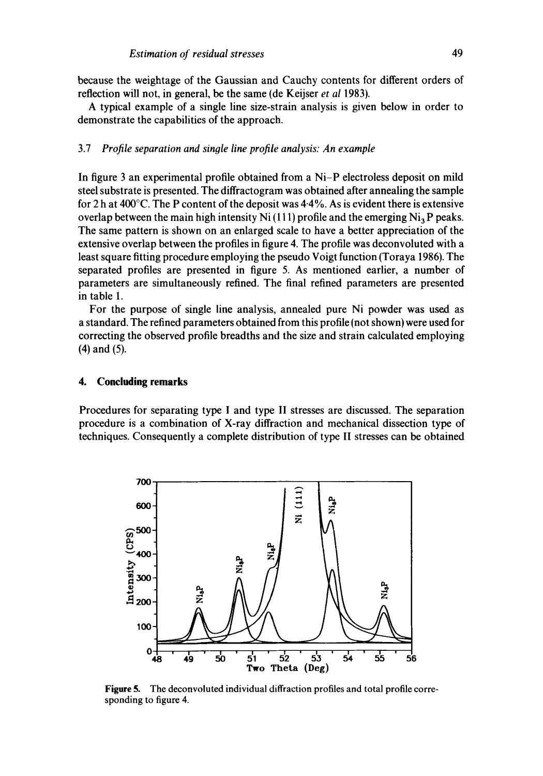because the weightage of the Gaussian and Cauchy contents for different orders of reflection will not, in general, be the same (de Keijser *et al* 1983).

A typical example of a single line size-strain analysis is given below in order to demonstrate the capabilities of the approach.

### 3.7 *Profile separation and single line profile analysis: An example*

In figure 3 an experimental profile obtained from a Ni-P electroless deposit on mild steel substrate is presented. The diffractogram was obtained after annealing the sample for 2 h at  $400^{\circ}$ C. The P content of the deposit was  $4.4\%$ . As is evident there is extensive overlap between the main high intensity Ni (111) profile and the emerging  $Ni<sub>3</sub>P$  peaks. The same pattern is shown on an enlarged scale to have a better appreciation of the extensive overlap between the profiles in figure 4. The profile was deconvoluted with a least square fitting procedure employing the pseudo Voigt function (Toraya 1986). The separated profiles are presented in figure 5. As mentioned earlier, a number of parameters are simultaneously refined. The final refined parameters are presented in table 1.

For the purpose of single line analysis, annealed pure Ni powder was used as a standard. The refined parameters obtained from this profile (not shown) were used for correcting the observed profile breadths and the size and strain calculated employing (4) and (5).

#### **4. Concluding remarks**

Procedures for separating type I and type II stresses are discussed. The separation procedure is a combination of X-ray diffraction and mechanical dissection type of techniques. Consequently a complete distribution of type II stresses can be obtained



Figure 5. The deconvoluted individual diffraction profiles and total profile corresponding to figure 4.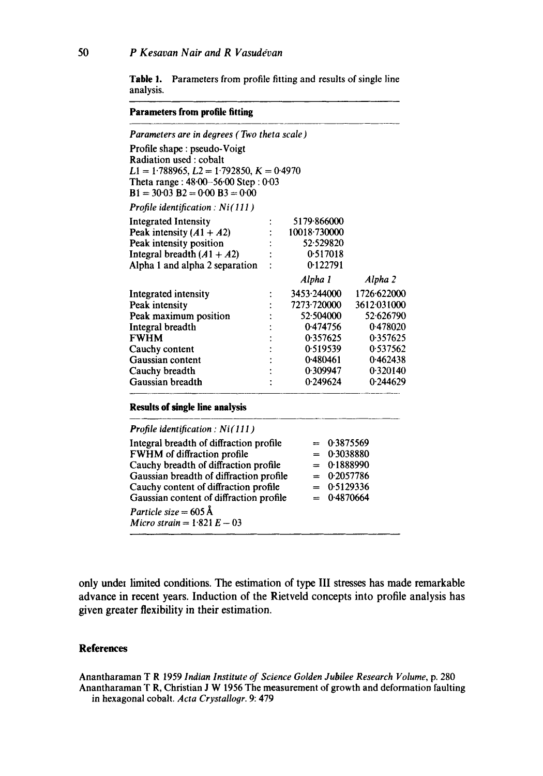**Table** 1. Parameters from profile fitting and results of single line analysis.

#### **Parameters from profile fitting**

| Parameters are in degrees (Two theta scale)                                                                                                                                                                                                                                                                         |  |                                                                                                                 |                                                                                        |                                                                                                                 |  |
|---------------------------------------------------------------------------------------------------------------------------------------------------------------------------------------------------------------------------------------------------------------------------------------------------------------------|--|-----------------------------------------------------------------------------------------------------------------|----------------------------------------------------------------------------------------|-----------------------------------------------------------------------------------------------------------------|--|
| Profile shape: pseudo-Voigt<br>Radiation used: cobalt<br>$L1 = 1.788965, L2 = 1.792850, K = 0.4970$<br>Theta range: $48.00 - 56.00$ Step: $0.03$<br>$B1 = 30.03 B2 = 0.00 B3 = 0.00$                                                                                                                                |  |                                                                                                                 |                                                                                        |                                                                                                                 |  |
| <b>Profile identification: Ni(111)</b>                                                                                                                                                                                                                                                                              |  |                                                                                                                 |                                                                                        |                                                                                                                 |  |
| <b>Integrated Intensity</b><br>Peak intensity $(A1 + A2)$<br>Peak intensity position<br>Integral breadth $(A1 + A2)$<br>Alpha 1 and alpha 2 separation                                                                                                                                                              |  | 5179.866000<br>10018-730000<br>52.529820<br>0.517018<br>0.122791                                                |                                                                                        |                                                                                                                 |  |
|                                                                                                                                                                                                                                                                                                                     |  | Alpha 1                                                                                                         |                                                                                        | Alpha 2                                                                                                         |  |
| Integrated intensity<br>Peak intensity<br>Peak maximum position<br>Integral breadth<br><b>FWHM</b><br>Cauchy content<br>Gaussian content<br>Cauchy breadth<br>Gaussian breadth<br><b>Results of single line analysis</b>                                                                                            |  | 3453.244000<br>7273.720000<br>52.504000<br>0.474756<br>0.357625<br>0.519539<br>0.480461<br>0.309947<br>0.249624 |                                                                                        | 1726.622000<br>3612.031000<br>52.626790<br>0.478020<br>0.357625<br>0.537562<br>0.462438<br>0.320140<br>0.244629 |  |
| <b>Profile identification:</b> $Ni(111)$                                                                                                                                                                                                                                                                            |  |                                                                                                                 |                                                                                        |                                                                                                                 |  |
| Integral breadth of diffraction profile<br>FWHM of diffraction profile<br>Cauchy breadth of diffraction profile<br>Gaussian breadth of diffraction profile<br>Cauchy content of diffraction profile<br>Gaussian content of diffraction profile<br>Particle size = $605 \text{\AA}$<br>Micro strain = $1.821 E - 03$ |  | $=$<br>$=$<br>$=$                                                                                               | 0.3875569<br>0.3038880<br>$= 0.1888990$<br>$= 0.2057786$<br>$= 0.5129336$<br>0.4870664 |                                                                                                                 |  |

only under limited conditions. The estimation of type III stresses has made remarkable advance in recent years. Induction of the Rietveld concepts into profile analysis has given greater flexibility in their estimation.

#### **References**

Anantharaman T R 1959 *Indian Institute of Science Golden Jubilee Research Volume,* p. 280 Anantharaman T R, Christian J W 1956 The measurement of growth and deformation faulting in hexagonal cobalt. *Acta Crystallogr.* 9:479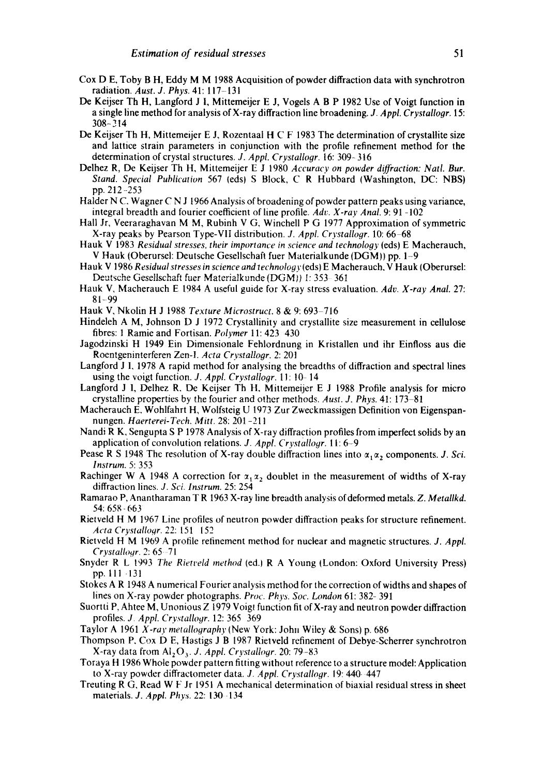- Cox D E, Toby B H, Eddy M M 1988 Acquisition of powder diffraction data with synchrotron radiation. *Aust. J. Phys.* 41:117-131
- De Keijser Th H, Langford J I, Mittemeijer E J, Vogels A B P 1982 Use of Voigt function in a single line method for analysis of X-ray diffraction line broadening. J. *Appl. Crystallogr.* 15: 308-314
- De Keijser Th H, Mittemeijer E J, Rozentaal H C F 1983 The determination of crystailite size and lattice strain parameters in conjunction with the profile refinement method for the determination of crystal structures. *J. Appl. Crystallogr.* 16: 309-316
- Delhez R, De Keijser Th H, Mittemeijer E J 1980 *Accuracy on powder diffraction: Natl. Bur. Stand. Special Publication* 567 (eds} S Block, C R Hubbard (Washington, DC: NBS) pp. 212--253
- Halder N C. Wagner C N J 1966 Analysis of broadening of powder pattern peaks using variance, integral breadth and fourier coefficient of line profile. *Adv. X-ray Anal.* 9:91 -102
- Hall Jr, Veeraraghavan M M, Rubinh V G, Winchell P G 1977 Approximation of symmetric X-ray peaks by Pearson Type-VIi distribution. *J. Appl. Crystallogr.* 10:66 68
- Hauk V 1983 *Residual stresses, their importance in science and technolooy* (eds) E Macherauch, V Hauk (Oberursel: Deutsche Gesellschaft fuer Materialkunde (DGM)) pp. 1-9
- Hauk V 1986 *Residual stresses in science andtechnology* (eds) E Macherauch, V Hauk (Oberursel: Deutsche Gesellschaft fuer Materialkunde (DGM)) 1: 353-361
- Hauk V, Macherauch E 1984 A useful guide for X-ray stress evaluation. *Adv, X-ray Anal.* 27: 81-99
- Hauk V, Nkolin H J 1988 *Texture Microstruct*. 8 & 9:693-716
- Hindeleh A M, Johnson D J 1972 Crystallinity and crystallite size measurement in cellulose fibres: 1 Ramie and Fortisan. *Polymer* 11:423 430
- Jagodzinski H 1949 Ein Dimensionale Fehlordnung in Kristallen und ihr Einfloss aus die Roentgeninterferen Zen-l. *Acta Crystallogr,* 2:201
- Langford J l, 1978 A rapid method for analysing the breadths of diffraction and spectral lines using the voigt function. *J. Appl. Crystallogr.* 11:10-14
- Langford J 1, Delhez R, De Keijser Th H, Mittemeijer E J 1988 Profile analysis for micro crystalline properties by the fourier and other methods. *Aust. J. Phys.* 41: 173–81
- Macherauch E, Wohlfahrt H, Wolfsteig U 1973 Zur Zweckmassigen Definition von Eigenspannungen. *Haerterei-Tech. Mitt.* 28:201-211
- Nandi R K, Sengupta S P 1978 Analysis of X-ray diffraction profiles from imperfect solids by an application of convolution relations. *J. Appl. Crystalloyr.* 11: 6-9
- Pease R S 1948 The resolution of X-ray double diffraction lines into  $\alpha_1 \alpha_2$  components. *J. Sci. Instrum.* 5:353
- Rachinger W A 1948 A correction for  $\alpha_1 \alpha_2$  doublet in the measurement of widths of X-ray diffraction lines. *J. Sci. lnstrum.* 25:254
- Ramarao P, Anantharaman T R 1963 X-ray line breadth analysis of deformed metals. *Z. Metallkd.*  54: 658- 663
- Rietveld H M 1967 Line profiles of neutron powder diffraction peaks for structure refinement. *Acta CrystaUo.qr. 22:151* 152
- Rietveld H M 1969 A profile refinement method for nuclear and magnetic structures. *J. Appl. Crystallogr. 2:65 - 71*
- Snyder R L 19q3 *The Rietveld method* (ed.) R A Young (London: Oxford University Press) pp. lll -131
- Stokes A R 1948 A numerical Fourier analysis method for the correction of widths and shapes of lines on X-ray powder photographs. *Proc. Phys. Soc. London* 61: 382- 391
- Suortti P, Ahtee M, Unonious Z 1979 Voigt function fit of X-ray and neutron powder diffraction profiles. J, *Appl. Crystalloyr.* 12:365 369
- Taylor A 1961 *X-ray metalloqraphy* (New York: John Wiley & Sons) p. 686
- Thompson P, Cox D E, Hastigs J B 1987 Rietveld refinement of Debye-Scherrer synchrotron X-ray data from  $Al_2O_3$ , *J. Appl. Crystallogr.* 20:79-83
- Toraya H 1986 Whole powder pattern fitting without reference to a structure model: Application to X-ray powder diffractometer data, *J. Appl, Crystallogr.* 19: 440-447
- Treuting R G, Read W F Jr 1951 A mechanical determination of biaxial residual stress in sheet materials. *J. Appl. Phys.* 22: 130-134